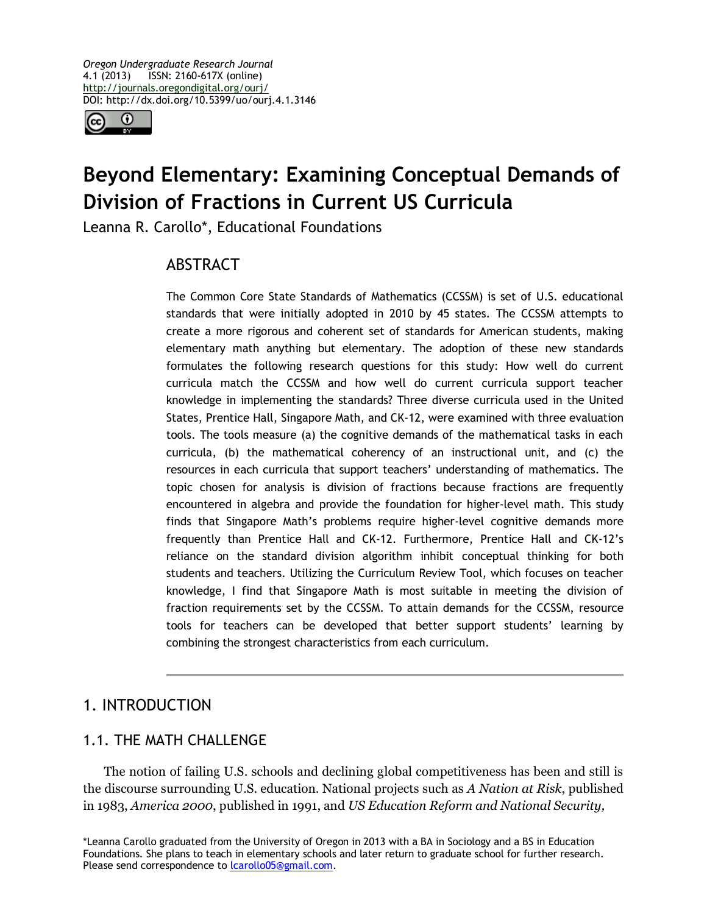

# **Beyond Elementary: Examining Conceptual Demands of Division of Fractions in Current US Curricula**

Leanna R. Carollo\*, Educational Foundations

# ABSTRACT

The Common Core State Standards of Mathematics (CCSSM) is set of U.S. educational standards that were initially adopted in 2010 by 45 states. The CCSSM attempts to create a more rigorous and coherent set of standards for American students, making elementary math anything but elementary. The adoption of these new standards formulates the following research questions for this study: How well do current curricula match the CCSSM and how well do current curricula support teacher knowledge in implementing the standards? Three diverse curricula used in the United States, Prentice Hall, Singapore Math, and CK-12, were examined with three evaluation tools. The tools measure (a) the cognitive demands of the mathematical tasks in each curricula, (b) the mathematical coherency of an instructional unit, and (c) the resources in each curricula that support teachers' understanding of mathematics. The topic chosen for analysis is division of fractions because fractions are frequently encountered in algebra and provide the foundation for higher-level math. This study finds that Singapore Math's problems require higher-level cognitive demands more frequently than Prentice Hall and CK-12. Furthermore, Prentice Hall and CK-12's reliance on the standard division algorithm inhibit conceptual thinking for both students and teachers. Utilizing the Curriculum Review Tool, which focuses on teacher knowledge, I find that Singapore Math is most suitable in meeting the division of fraction requirements set by the CCSSM. To attain demands for the CCSSM, resource tools for teachers can be developed that better support students' learning by combining the strongest characteristics from each curriculum.

# 1. INTRODUCTION

# 1.1. THE MATH CHALLENGE

The notion of failing U.S. schools and declining global competitiveness has been and still is the discourse surrounding U.S. education. National projects such as *A Nation at Risk*, published in 1983, *America 2000*, published in 1991, and *US Education Reform and National Security,*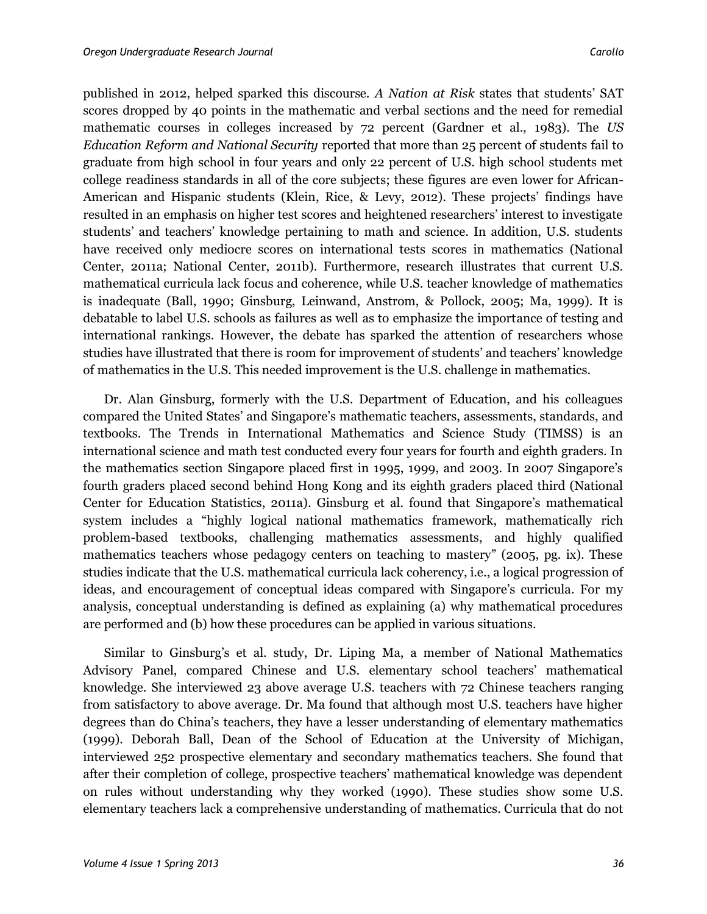published in 2012, helped sparked this discourse. *A Nation at Risk* states that students' SAT scores dropped by 40 points in the mathematic and verbal sections and the need for remedial mathematic courses in colleges increased by 72 percent (Gardner et al., 1983). The *US Education Reform and National Security* reported that more than 25 percent of students fail to graduate from high school in four years and only 22 percent of U.S. high school students met college readiness standards in all of the core subjects; these figures are even lower for African-American and Hispanic students (Klein, Rice, & Levy, 2012). These projects' findings have resulted in an emphasis on higher test scores and heightened researchers' interest to investigate students' and teachers' knowledge pertaining to math and science. In addition, U.S. students have received only mediocre scores on international tests scores in mathematics (National Center, 2011a; National Center, 2011b). Furthermore, research illustrates that current U.S. mathematical curricula lack focus and coherence, while U.S. teacher knowledge of mathematics is inadequate (Ball, 1990; Ginsburg, Leinwand, Anstrom, & Pollock, 2005; Ma, 1999). It is debatable to label U.S. schools as failures as well as to emphasize the importance of testing and international rankings. However, the debate has sparked the attention of researchers whose studies have illustrated that there is room for improvement of students' and teachers' knowledge of mathematics in the U.S. This needed improvement is the U.S. challenge in mathematics.

Dr. Alan Ginsburg, formerly with the U.S. Department of Education, and his colleagues compared the United States' and Singapore's mathematic teachers, assessments, standards, and textbooks. The Trends in International Mathematics and Science Study (TIMSS) is an international science and math test conducted every four years for fourth and eighth graders. In the mathematics section Singapore placed first in 1995, 1999, and 2003. In 2007 Singapore's fourth graders placed second behind Hong Kong and its eighth graders placed third (National Center for Education Statistics, 2011a). Ginsburg et al. found that Singapore's mathematical system includes a "highly logical national mathematics framework, mathematically rich problem-based textbooks, challenging mathematics assessments, and highly qualified mathematics teachers whose pedagogy centers on teaching to mastery" (2005, pg. ix). These studies indicate that the U.S. mathematical curricula lack coherency, i.e., a logical progression of ideas, and encouragement of conceptual ideas compared with Singapore's curricula. For my analysis, conceptual understanding is defined as explaining (a) why mathematical procedures are performed and (b) how these procedures can be applied in various situations.

Similar to Ginsburg's et al. study, Dr. Liping Ma, a member of National Mathematics Advisory Panel, compared Chinese and U.S. elementary school teachers' mathematical knowledge. She interviewed 23 above average U.S. teachers with 72 Chinese teachers ranging from satisfactory to above average. Dr. Ma found that although most U.S. teachers have higher degrees than do China's teachers, they have a lesser understanding of elementary mathematics (1999). Deborah Ball, Dean of the School of Education at the University of Michigan, interviewed 252 prospective elementary and secondary mathematics teachers. She found that after their completion of college, prospective teachers' mathematical knowledge was dependent on rules without understanding why they worked (1990). These studies show some U.S. elementary teachers lack a comprehensive understanding of mathematics. Curricula that do not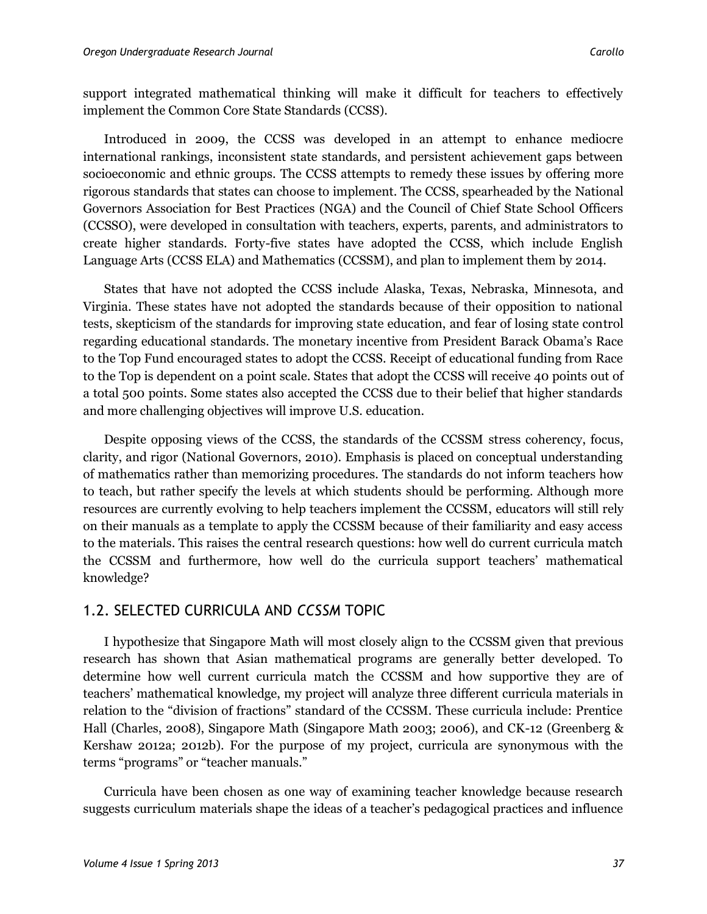support integrated mathematical thinking will make it difficult for teachers to effectively implement the Common Core State Standards (CCSS).

Introduced in 2009, the CCSS was developed in an attempt to enhance mediocre international rankings, inconsistent state standards, and persistent achievement gaps between socioeconomic and ethnic groups. The CCSS attempts to remedy these issues by offering more rigorous standards that states can choose to implement. The CCSS, spearheaded by the National Governors Association for Best Practices (NGA) and the Council of Chief State School Officers (CCSSO), were developed in consultation with teachers, experts, parents, and administrators to create higher standards. Forty-five states have adopted the CCSS, which include English Language Arts (CCSS ELA) and Mathematics (CCSSM), and plan to implement them by 2014.

States that have not adopted the CCSS include Alaska, Texas, Nebraska, Minnesota, and Virginia. These states have not adopted the standards because of their opposition to national tests, skepticism of the standards for improving state education, and fear of losing state control regarding educational standards. The monetary incentive from President Barack Obama's Race to the Top Fund encouraged states to adopt the CCSS. Receipt of educational funding from Race to the Top is dependent on a point scale. States that adopt the CCSS will receive 40 points out of a total 500 points. Some states also accepted the CCSS due to their belief that higher standards and more challenging objectives will improve U.S. education.

Despite opposing views of the CCSS, the standards of the CCSSM stress coherency, focus, clarity, and rigor (National Governors, 2010). Emphasis is placed on conceptual understanding of mathematics rather than memorizing procedures. The standards do not inform teachers how to teach, but rather specify the levels at which students should be performing. Although more resources are currently evolving to help teachers implement the CCSSM, educators will still rely on their manuals as a template to apply the CCSSM because of their familiarity and easy access to the materials. This raises the central research questions: how well do current curricula match the CCSSM and furthermore, how well do the curricula support teachers' mathematical knowledge?

# 1.2. SELECTED CURRICULA AND *CCSSM* TOPIC

I hypothesize that Singapore Math will most closely align to the CCSSM given that previous research has shown that Asian mathematical programs are generally better developed. To determine how well current curricula match the CCSSM and how supportive they are of teachers' mathematical knowledge, my project will analyze three different curricula materials in relation to the "division of fractions" standard of the CCSSM. These curricula include: Prentice Hall (Charles, 2008), Singapore Math (Singapore Math 2003; 2006), and CK-12 (Greenberg & Kershaw 2012a; 2012b). For the purpose of my project, curricula are synonymous with the terms "programs" or "teacher manuals."

Curricula have been chosen as one way of examining teacher knowledge because research suggests curriculum materials shape the ideas of a teacher's pedagogical practices and influence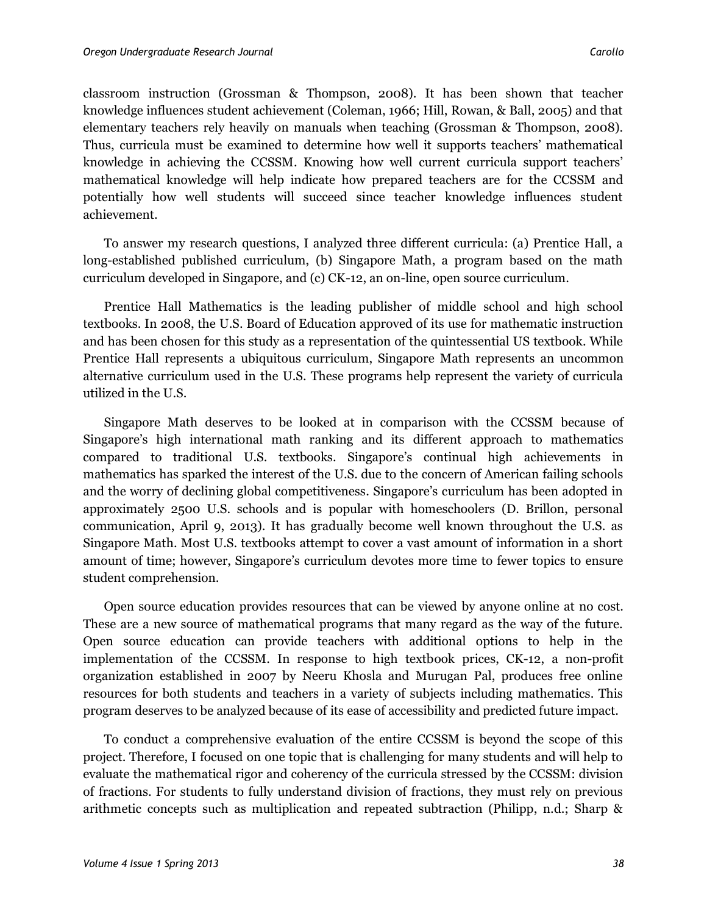classroom instruction (Grossman & Thompson, 2008). It has been shown that teacher knowledge influences student achievement (Coleman, 1966; Hill, Rowan, & Ball, 2005) and that elementary teachers rely heavily on manuals when teaching (Grossman & Thompson, 2008). Thus, curricula must be examined to determine how well it supports teachers' mathematical knowledge in achieving the CCSSM. Knowing how well current curricula support teachers' mathematical knowledge will help indicate how prepared teachers are for the CCSSM and potentially how well students will succeed since teacher knowledge influences student achievement.

To answer my research questions, I analyzed three different curricula: (a) Prentice Hall, a long-established published curriculum, (b) Singapore Math, a program based on the math curriculum developed in Singapore, and (c) CK-12, an on-line, open source curriculum.

Prentice Hall Mathematics is the leading publisher of middle school and high school textbooks. In 2008, the U.S. Board of Education approved of its use for mathematic instruction and has been chosen for this study as a representation of the quintessential US textbook. While Prentice Hall represents a ubiquitous curriculum, Singapore Math represents an uncommon alternative curriculum used in the U.S. These programs help represent the variety of curricula utilized in the U.S.

Singapore Math deserves to be looked at in comparison with the CCSSM because of Singapore's high international math ranking and its different approach to mathematics compared to traditional U.S. textbooks. Singapore's continual high achievements in mathematics has sparked the interest of the U.S. due to the concern of American failing schools and the worry of declining global competitiveness. Singapore's curriculum has been adopted in approximately 2500 U.S. schools and is popular with homeschoolers (D. Brillon, personal communication, April 9, 2013). It has gradually become well known throughout the U.S. as Singapore Math. Most U.S. textbooks attempt to cover a vast amount of information in a short amount of time; however, Singapore's curriculum devotes more time to fewer topics to ensure student comprehension.

Open source education provides resources that can be viewed by anyone online at no cost. These are a new source of mathematical programs that many regard as the way of the future. Open source education can provide teachers with additional options to help in the implementation of the CCSSM. In response to high textbook prices, CK-12, a non-profit organization established in 2007 by Neeru Khosla and Murugan Pal, produces free online resources for both students and teachers in a variety of subjects including mathematics. This program deserves to be analyzed because of its ease of accessibility and predicted future impact.

To conduct a comprehensive evaluation of the entire CCSSM is beyond the scope of this project. Therefore, I focused on one topic that is challenging for many students and will help to evaluate the mathematical rigor and coherency of the curricula stressed by the CCSSM: division of fractions. For students to fully understand division of fractions, they must rely on previous arithmetic concepts such as multiplication and repeated subtraction (Philipp, n.d.; Sharp &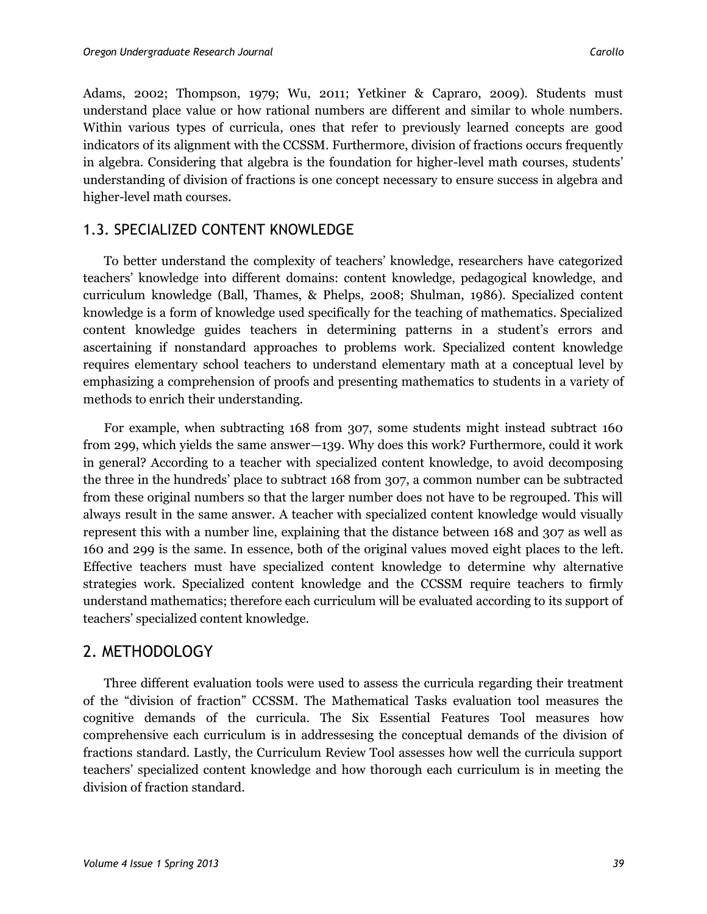Adams, 2002; Thompson, 1979; Wu, 2011; Yetkiner & Capraro, 2009). Students must understand place value or how rational numbers are different and similar to whole numbers. Within various types of curricula, ones that refer to previously learned concepts are good indicators of its alignment with the CCSSM. Furthermore, division of fractions occurs frequently in algebra. Considering that algebra is the foundation for higher-level math courses, students' understanding of division of fractions is one concept necessary to ensure success in algebra and higher-level math courses.

### 1.3. SPECIALIZED CONTENT KNOWLEDGE

To better understand the complexity of teachers' knowledge, researchers have categorized teachers' knowledge into different domains: content knowledge, pedagogical knowledge, and curriculum knowledge (Ball, Thames, & Phelps, 2008; Shulman, 1986). Specialized content knowledge is a form of knowledge used specifically for the teaching of mathematics. Specialized content knowledge guides teachers in determining patterns in a student's errors and ascertaining if nonstandard approaches to problems work. Specialized content knowledge requires elementary school teachers to understand elementary math at a conceptual level by emphasizing a comprehension of proofs and presenting mathematics to students in a variety of methods to enrich their understanding.

For example, when subtracting 168 from 307, some students might instead subtract 160 from 299, which yields the same answer—139. Why does this work? Furthermore, could it work in general? According to a teacher with specialized content knowledge, to avoid decomposing the three in the hundreds' place to subtract 168 from 307, a common number can be subtracted from these original numbers so that the larger number does not have to be regrouped. This will always result in the same answer. A teacher with specialized content knowledge would visually represent this with a number line, explaining that the distance between 168 and 307 as well as 160 and 299 is the same. In essence, both of the original values moved eight places to the left. Effective teachers must have specialized content knowledge to determine why alternative strategies work. Specialized content knowledge and the CCSSM require teachers to firmly understand mathematics; therefore each curriculum will be evaluated according to its support of teachers' specialized content knowledge.

## 2. METHODOLOGY

Three different evaluation tools were used to assess the curricula regarding their treatment of the "division of fraction" CCSSM. The Mathematical Tasks evaluation tool measures the cognitive demands of the curricula. The Six Essential Features Tool measures how comprehensive each curriculum is in addressesing the conceptual demands of the division of fractions standard. Lastly, the Curriculum Review Tool assesses how well the curricula support teachers' specialized content knowledge and how thorough each curriculum is in meeting the division of fraction standard.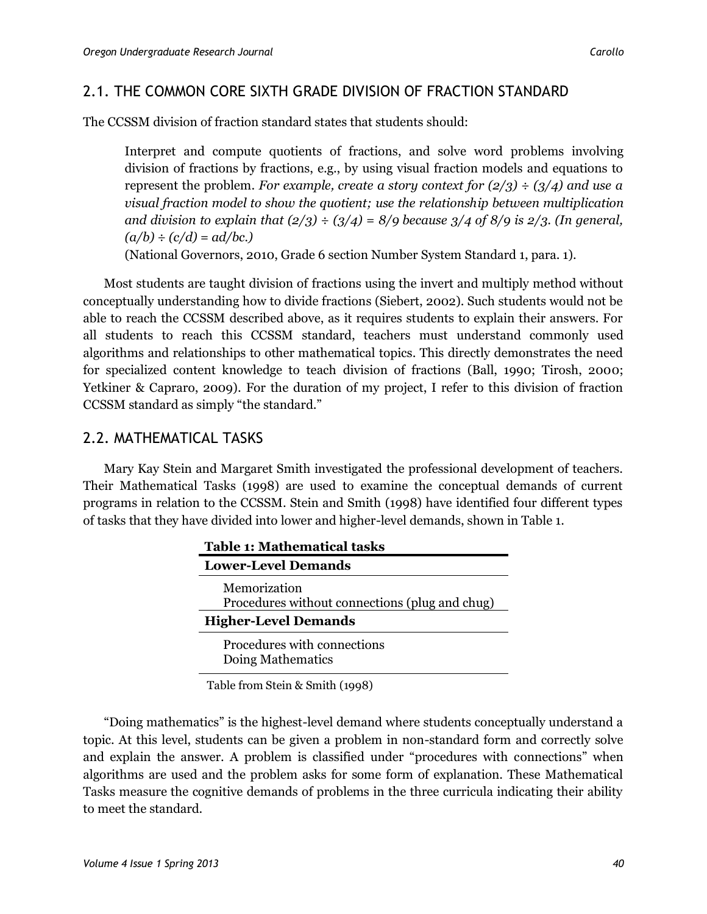## 2.1. THE COMMON CORE SIXTH GRADE DIVISION OF FRACTION STANDARD

The CCSSM division of fraction standard states that students should:

Interpret and compute quotients of fractions, and solve word problems involving division of fractions by fractions, e.g., by using visual fraction models and equations to represent the problem. *For example, create a story context for (2/3) ÷ (3/4) and use a visual fraction model to show the quotient; use the relationship between multiplication and division to explain that*  $\left(\frac{2}{3}\right) \div \left(\frac{3}{4}\right) = \frac{8}{9}$  *because*  $\frac{3}{4}$  *of 8/9 is 2/3. (In general, (a/b) ÷ (c/d) = ad/bc.)*

(National Governors, 2010, Grade 6 section Number System Standard 1, para. 1).

Most students are taught division of fractions using the invert and multiply method without conceptually understanding how to divide fractions (Siebert, 2002). Such students would not be able to reach the CCSSM described above, as it requires students to explain their answers. For all students to reach this CCSSM standard, teachers must understand commonly used algorithms and relationships to other mathematical topics. This directly demonstrates the need for specialized content knowledge to teach division of fractions (Ball, 1990; Tirosh, 2000; Yetkiner & Capraro, 2009). For the duration of my project, I refer to this division of fraction CCSSM standard as simply "the standard."

## 2.2. MATHEMATICAL TASKS

Mary Kay Stein and Margaret Smith investigated the professional development of teachers. Their Mathematical Tasks (1998) are used to examine the conceptual demands of current programs in relation to the CCSSM. Stein and Smith (1998) have identified four different types of tasks that they have divided into lower and higher-level demands, shown in Table 1.

Table from Stein & Smith (1998)

"Doing mathematics" is the highest-level demand where students conceptually understand a topic. At this level, students can be given a problem in non-standard form and correctly solve and explain the answer. A problem is classified under "procedures with connections" when algorithms are used and the problem asks for some form of explanation. These Mathematical Tasks measure the cognitive demands of problems in the three curricula indicating their ability to meet the standard.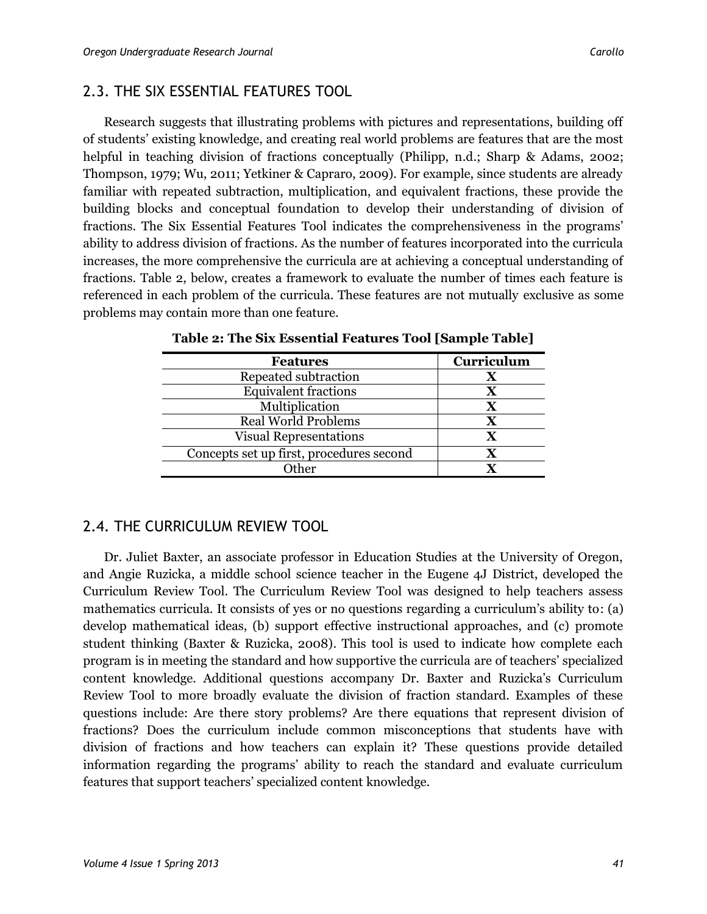# 2.3. THE SIX ESSENTIAL FEATURES TOOL

Research suggests that illustrating problems with pictures and representations, building off of students' existing knowledge, and creating real world problems are features that are the most helpful in teaching division of fractions conceptually (Philipp, n.d.; Sharp & Adams, 2002; Thompson, 1979; Wu, 2011; Yetkiner & Capraro, 2009). For example, since students are already familiar with repeated subtraction, multiplication, and equivalent fractions, these provide the building blocks and conceptual foundation to develop their understanding of division of fractions. The Six Essential Features Tool indicates the comprehensiveness in the programs' ability to address division of fractions. As the number of features incorporated into the curricula increases, the more comprehensive the curricula are at achieving a conceptual understanding of fractions. Table 2, below, creates a framework to evaluate the number of times each feature is referenced in each problem of the curricula. These features are not mutually exclusive as some problems may contain more than one feature.

| <b>Features</b>                          | Curriculum  |
|------------------------------------------|-------------|
| Repeated subtraction                     |             |
| <b>Equivalent fractions</b>              | X           |
| Multiplication                           | $\mathbf X$ |
| <b>Real World Problems</b>               | $\mathbf x$ |
| <b>Visual Representations</b>            | $\mathbf x$ |
| Concepts set up first, procedures second |             |
| Other                                    |             |
|                                          |             |

|  |  |  | Table 2: The Six Essential Features Tool [Sample Table] |
|--|--|--|---------------------------------------------------------|
|--|--|--|---------------------------------------------------------|

# 2.4. THE CURRICULUM REVIEW TOOL

Dr. Juliet Baxter, an associate professor in Education Studies at the University of Oregon, and Angie Ruzicka, a middle school science teacher in the Eugene 4J District, developed the Curriculum Review Tool. The Curriculum Review Tool was designed to help teachers assess mathematics curricula. It consists of yes or no questions regarding a curriculum's ability to: (a) develop mathematical ideas, (b) support effective instructional approaches, and (c) promote student thinking (Baxter & Ruzicka, 2008). This tool is used to indicate how complete each program is in meeting the standard and how supportive the curricula are of teachers' specialized content knowledge. Additional questions accompany Dr. Baxter and Ruzicka's Curriculum Review Tool to more broadly evaluate the division of fraction standard. Examples of these questions include: Are there story problems? Are there equations that represent division of fractions? Does the curriculum include common misconceptions that students have with division of fractions and how teachers can explain it? These questions provide detailed information regarding the programs' ability to reach the standard and evaluate curriculum features that support teachers' specialized content knowledge.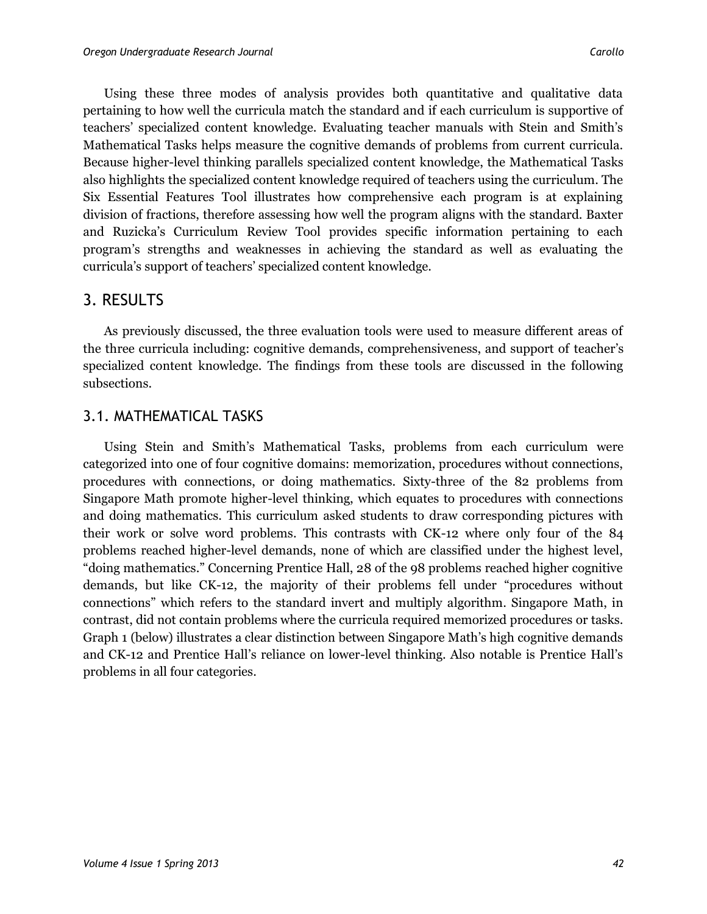Using these three modes of analysis provides both quantitative and qualitative data pertaining to how well the curricula match the standard and if each curriculum is supportive of teachers' specialized content knowledge. Evaluating teacher manuals with Stein and Smith's Mathematical Tasks helps measure the cognitive demands of problems from current curricula. Because higher-level thinking parallels specialized content knowledge, the Mathematical Tasks also highlights the specialized content knowledge required of teachers using the curriculum. The Six Essential Features Tool illustrates how comprehensive each program is at explaining division of fractions, therefore assessing how well the program aligns with the standard. Baxter and Ruzicka's Curriculum Review Tool provides specific information pertaining to each program's strengths and weaknesses in achieving the standard as well as evaluating the curricula's support of teachers' specialized content knowledge.

# 3. RESULTS

As previously discussed, the three evaluation tools were used to measure different areas of the three curricula including: cognitive demands, comprehensiveness, and support of teacher's specialized content knowledge. The findings from these tools are discussed in the following subsections.

## 3.1. MATHEMATICAL TASKS

Using Stein and Smith's Mathematical Tasks, problems from each curriculum were categorized into one of four cognitive domains: memorization, procedures without connections, procedures with connections, or doing mathematics. Sixty-three of the 82 problems from Singapore Math promote higher-level thinking, which equates to procedures with connections and doing mathematics. This curriculum asked students to draw corresponding pictures with their work or solve word problems. This contrasts with CK-12 where only four of the 84 problems reached higher-level demands, none of which are classified under the highest level, "doing mathematics." Concerning Prentice Hall, 28 of the 98 problems reached higher cognitive demands, but like CK-12, the majority of their problems fell under "procedures without connections" which refers to the standard invert and multiply algorithm. Singapore Math, in contrast, did not contain problems where the curricula required memorized procedures or tasks. Graph 1 (below) illustrates a clear distinction between Singapore Math's high cognitive demands and CK-12 and Prentice Hall's reliance on lower-level thinking. Also notable is Prentice Hall's problems in all four categories.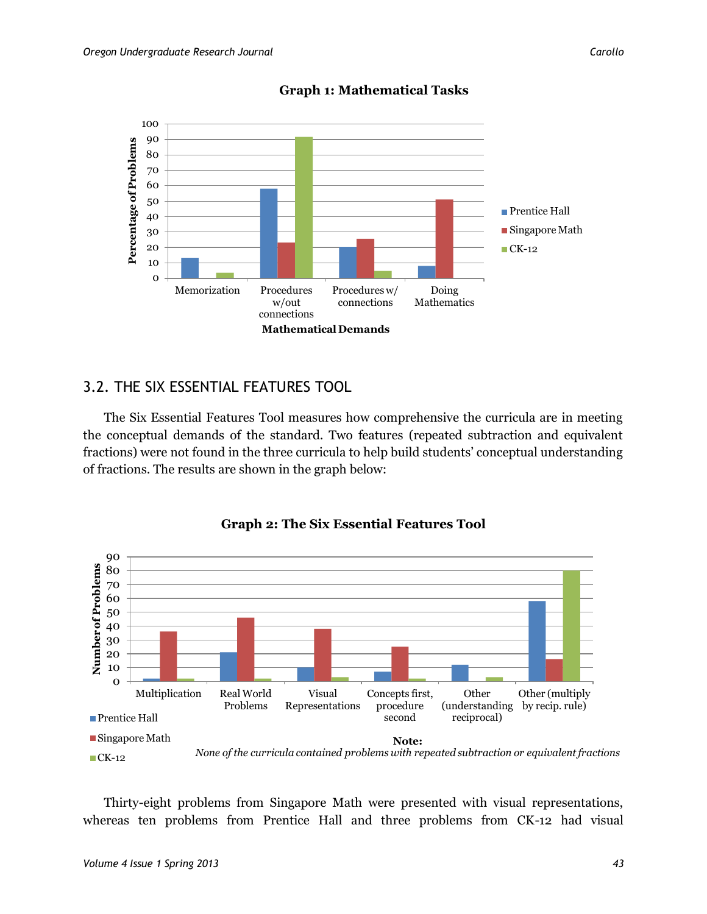

#### **Graph 1: Mathematical Tasks**

## 3.2. THE SIX ESSENTIAL FEATURES TOOL

The Six Essential Features Tool measures how comprehensive the curricula are in meeting the conceptual demands of the standard. Two features (repeated subtraction and equivalent fractions) were not found in the three curricula to help build students' conceptual understanding of fractions. The results are shown in the graph below:



#### **Graph 2: The Six Essential Features Tool**

Thirty-eight problems from Singapore Math were presented with visual representations, whereas ten problems from Prentice Hall and three problems from CK-12 had visual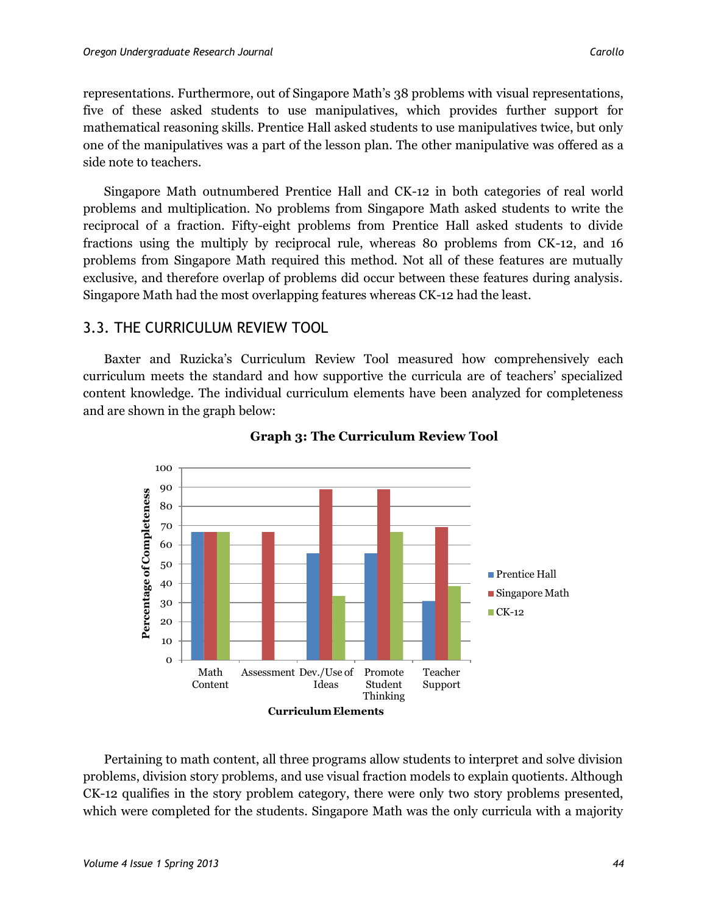representations. Furthermore, out of Singapore Math's 38 problems with visual representations, five of these asked students to use manipulatives, which provides further support for mathematical reasoning skills. Prentice Hall asked students to use manipulatives twice, but only one of the manipulatives was a part of the lesson plan. The other manipulative was offered as a side note to teachers.

Singapore Math outnumbered Prentice Hall and CK-12 in both categories of real world problems and multiplication. No problems from Singapore Math asked students to write the reciprocal of a fraction. Fifty-eight problems from Prentice Hall asked students to divide fractions using the multiply by reciprocal rule, whereas 80 problems from CK-12, and 16 problems from Singapore Math required this method. Not all of these features are mutually exclusive, and therefore overlap of problems did occur between these features during analysis. Singapore Math had the most overlapping features whereas CK-12 had the least.

#### 3.3. THE CURRICULUM REVIEW TOOL

Baxter and Ruzicka's Curriculum Review Tool measured how comprehensively each curriculum meets the standard and how supportive the curricula are of teachers' specialized content knowledge. The individual curriculum elements have been analyzed for completeness and are shown in the graph below:



#### **Graph 3: The Curriculum Review Tool**

Pertaining to math content, all three programs allow students to interpret and solve division problems, division story problems, and use visual fraction models to explain quotients. Although CK-12 qualifies in the story problem category, there were only two story problems presented, which were completed for the students. Singapore Math was the only curricula with a majority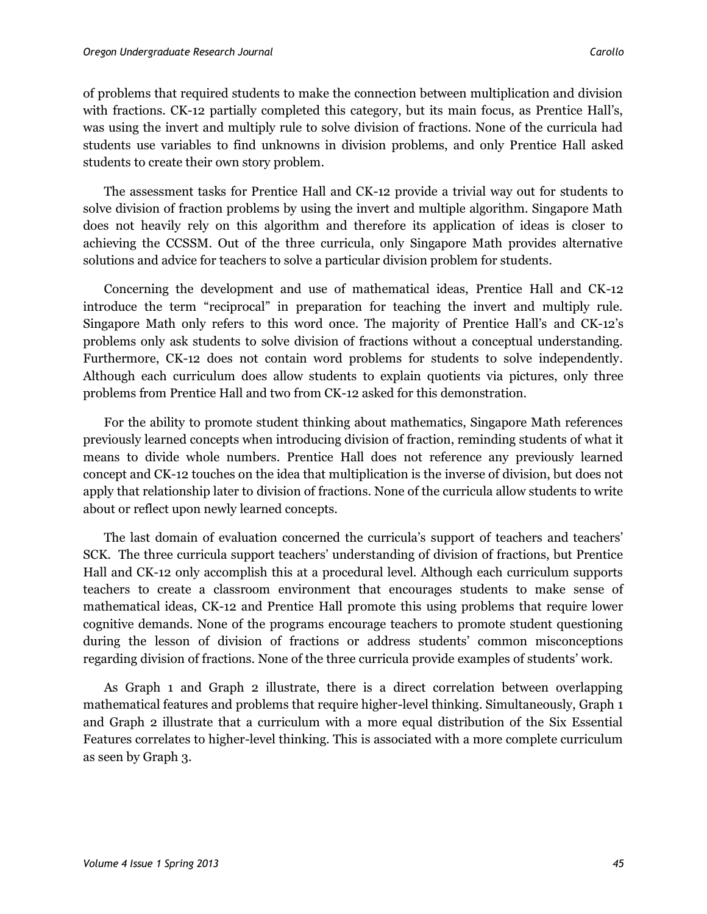of problems that required students to make the connection between multiplication and division with fractions. CK-12 partially completed this category, but its main focus, as Prentice Hall's, was using the invert and multiply rule to solve division of fractions. None of the curricula had students use variables to find unknowns in division problems, and only Prentice Hall asked students to create their own story problem.

The assessment tasks for Prentice Hall and CK-12 provide a trivial way out for students to solve division of fraction problems by using the invert and multiple algorithm. Singapore Math does not heavily rely on this algorithm and therefore its application of ideas is closer to achieving the CCSSM. Out of the three curricula, only Singapore Math provides alternative solutions and advice for teachers to solve a particular division problem for students.

Concerning the development and use of mathematical ideas, Prentice Hall and CK-12 introduce the term "reciprocal" in preparation for teaching the invert and multiply rule. Singapore Math only refers to this word once. The majority of Prentice Hall's and CK-12's problems only ask students to solve division of fractions without a conceptual understanding. Furthermore, CK-12 does not contain word problems for students to solve independently. Although each curriculum does allow students to explain quotients via pictures, only three problems from Prentice Hall and two from CK-12 asked for this demonstration.

For the ability to promote student thinking about mathematics, Singapore Math references previously learned concepts when introducing division of fraction, reminding students of what it means to divide whole numbers. Prentice Hall does not reference any previously learned concept and CK-12 touches on the idea that multiplication is the inverse of division, but does not apply that relationship later to division of fractions. None of the curricula allow students to write about or reflect upon newly learned concepts.

The last domain of evaluation concerned the curricula's support of teachers and teachers' SCK. The three curricula support teachers' understanding of division of fractions, but Prentice Hall and CK-12 only accomplish this at a procedural level. Although each curriculum supports teachers to create a classroom environment that encourages students to make sense of mathematical ideas, CK-12 and Prentice Hall promote this using problems that require lower cognitive demands. None of the programs encourage teachers to promote student questioning during the lesson of division of fractions or address students' common misconceptions regarding division of fractions. None of the three curricula provide examples of students' work.

As Graph 1 and Graph 2 illustrate, there is a direct correlation between overlapping mathematical features and problems that require higher-level thinking. Simultaneously, Graph 1 and Graph 2 illustrate that a curriculum with a more equal distribution of the Six Essential Features correlates to higher-level thinking. This is associated with a more complete curriculum as seen by Graph 3.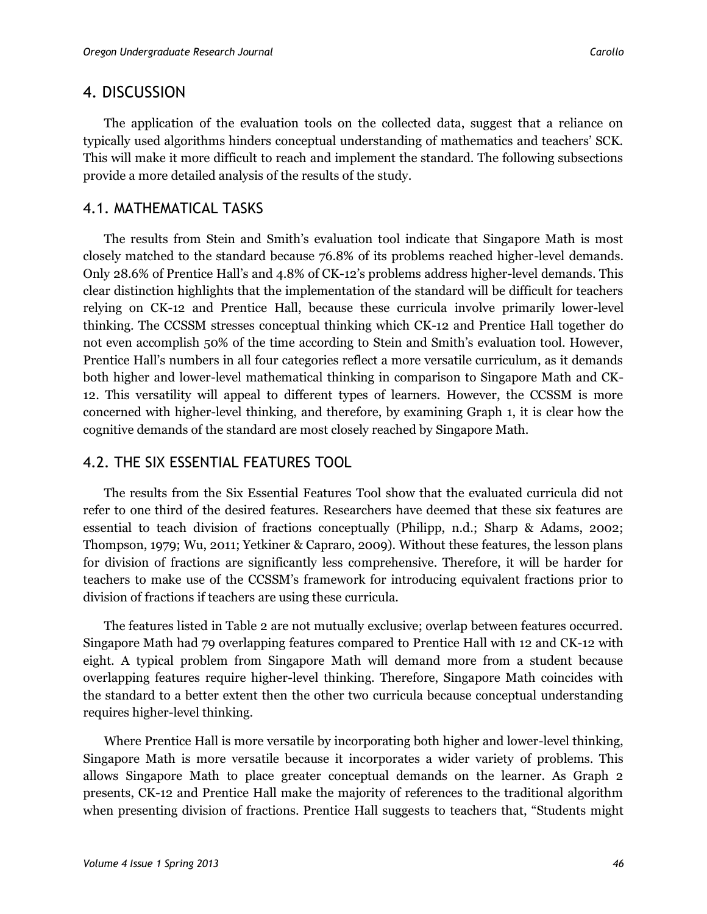## 4. DISCUSSION

The application of the evaluation tools on the collected data, suggest that a reliance on typically used algorithms hinders conceptual understanding of mathematics and teachers' SCK. This will make it more difficult to reach and implement the standard. The following subsections provide a more detailed analysis of the results of the study.

# 4.1. MATHEMATICAL TASKS

The results from Stein and Smith's evaluation tool indicate that Singapore Math is most closely matched to the standard because 76.8% of its problems reached higher-level demands. Only 28.6% of Prentice Hall's and 4.8% of CK-12's problems address higher-level demands. This clear distinction highlights that the implementation of the standard will be difficult for teachers relying on CK-12 and Prentice Hall, because these curricula involve primarily lower-level thinking. The CCSSM stresses conceptual thinking which CK-12 and Prentice Hall together do not even accomplish 50% of the time according to Stein and Smith's evaluation tool. However, Prentice Hall's numbers in all four categories reflect a more versatile curriculum, as it demands both higher and lower-level mathematical thinking in comparison to Singapore Math and CK-12. This versatility will appeal to different types of learners. However, the CCSSM is more concerned with higher-level thinking, and therefore, by examining Graph 1, it is clear how the cognitive demands of the standard are most closely reached by Singapore Math.

# 4.2. THE SIX ESSENTIAL FEATURES TOOL

The results from the Six Essential Features Tool show that the evaluated curricula did not refer to one third of the desired features. Researchers have deemed that these six features are essential to teach division of fractions conceptually (Philipp, n.d.; Sharp & Adams, 2002; Thompson, 1979; Wu, 2011; Yetkiner & Capraro, 2009). Without these features, the lesson plans for division of fractions are significantly less comprehensive. Therefore, it will be harder for teachers to make use of the CCSSM's framework for introducing equivalent fractions prior to division of fractions if teachers are using these curricula.

The features listed in Table 2 are not mutually exclusive; overlap between features occurred. Singapore Math had 79 overlapping features compared to Prentice Hall with 12 and CK-12 with eight. A typical problem from Singapore Math will demand more from a student because overlapping features require higher-level thinking. Therefore, Singapore Math coincides with the standard to a better extent then the other two curricula because conceptual understanding requires higher-level thinking.

Where Prentice Hall is more versatile by incorporating both higher and lower-level thinking, Singapore Math is more versatile because it incorporates a wider variety of problems. This allows Singapore Math to place greater conceptual demands on the learner. As Graph 2 presents, CK-12 and Prentice Hall make the majority of references to the traditional algorithm when presenting division of fractions. Prentice Hall suggests to teachers that, "Students might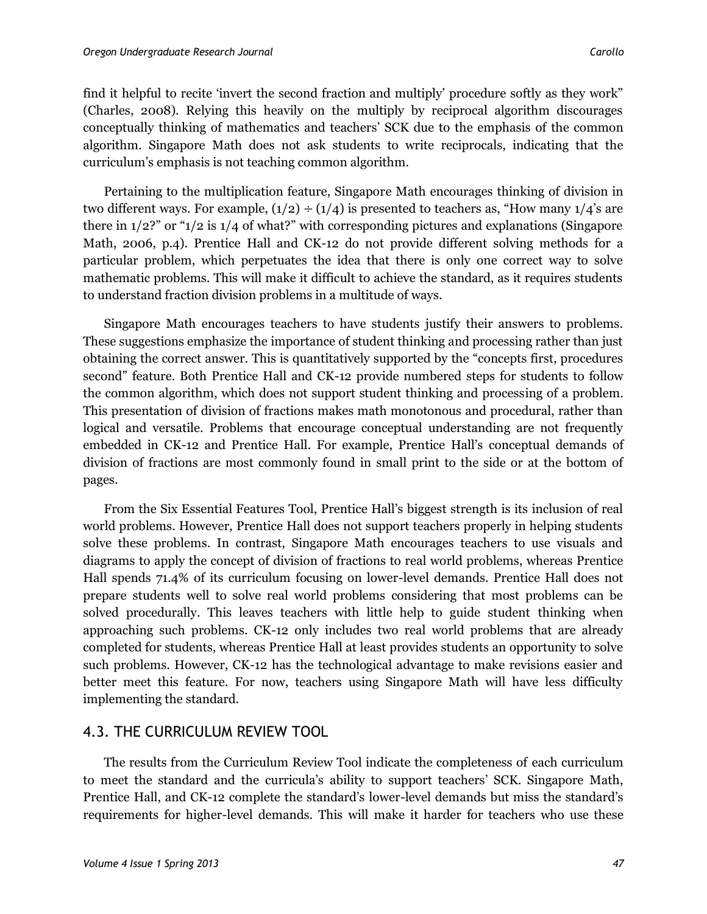find it helpful to recite 'invert the second fraction and multiply' procedure softly as they work" (Charles, 2008). Relying this heavily on the multiply by reciprocal algorithm discourages conceptually thinking of mathematics and teachers' SCK due to the emphasis of the common algorithm. Singapore Math does not ask students to write reciprocals, indicating that the curriculum's emphasis is not teaching common algorithm.

Pertaining to the multiplication feature, Singapore Math encourages thinking of division in two different ways. For example,  $(1/2) \div (1/4)$  is presented to teachers as, "How many  $1/4$ 's are there in 1/2?" or "1/2 is 1/4 of what?" with corresponding pictures and explanations (Singapore Math, 2006, p.4). Prentice Hall and CK-12 do not provide different solving methods for a particular problem, which perpetuates the idea that there is only one correct way to solve mathematic problems. This will make it difficult to achieve the standard, as it requires students to understand fraction division problems in a multitude of ways.

Singapore Math encourages teachers to have students justify their answers to problems. These suggestions emphasize the importance of student thinking and processing rather than just obtaining the correct answer. This is quantitatively supported by the "concepts first, procedures second" feature. Both Prentice Hall and CK-12 provide numbered steps for students to follow the common algorithm, which does not support student thinking and processing of a problem. This presentation of division of fractions makes math monotonous and procedural, rather than logical and versatile. Problems that encourage conceptual understanding are not frequently embedded in CK-12 and Prentice Hall. For example, Prentice Hall's conceptual demands of division of fractions are most commonly found in small print to the side or at the bottom of pages.

From the Six Essential Features Tool, Prentice Hall's biggest strength is its inclusion of real world problems. However, Prentice Hall does not support teachers properly in helping students solve these problems. In contrast, Singapore Math encourages teachers to use visuals and diagrams to apply the concept of division of fractions to real world problems, whereas Prentice Hall spends 71.4% of its curriculum focusing on lower-level demands. Prentice Hall does not prepare students well to solve real world problems considering that most problems can be solved procedurally. This leaves teachers with little help to guide student thinking when approaching such problems. CK-12 only includes two real world problems that are already completed for students, whereas Prentice Hall at least provides students an opportunity to solve such problems. However, CK-12 has the technological advantage to make revisions easier and better meet this feature. For now, teachers using Singapore Math will have less difficulty implementing the standard.

#### 4.3. THE CURRICULUM REVIEW TOOL

The results from the Curriculum Review Tool indicate the completeness of each curriculum to meet the standard and the curricula's ability to support teachers' SCK. Singapore Math, Prentice Hall, and CK-12 complete the standard's lower-level demands but miss the standard's requirements for higher-level demands. This will make it harder for teachers who use these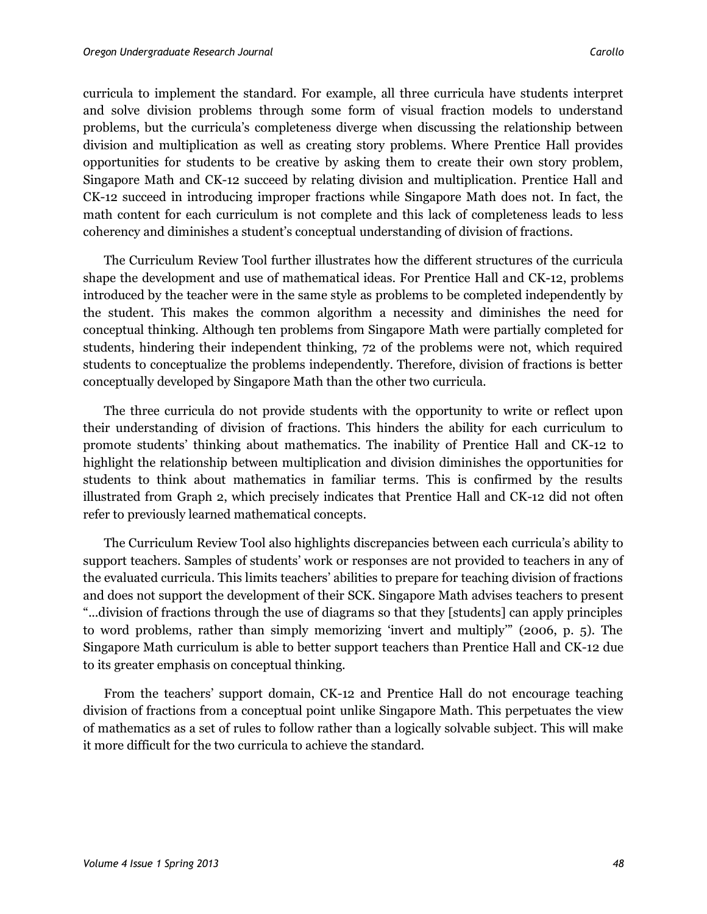curricula to implement the standard. For example, all three curricula have students interpret and solve division problems through some form of visual fraction models to understand problems, but the curricula's completeness diverge when discussing the relationship between division and multiplication as well as creating story problems. Where Prentice Hall provides opportunities for students to be creative by asking them to create their own story problem, Singapore Math and CK-12 succeed by relating division and multiplication. Prentice Hall and CK-12 succeed in introducing improper fractions while Singapore Math does not. In fact, the math content for each curriculum is not complete and this lack of completeness leads to less coherency and diminishes a student's conceptual understanding of division of fractions.

The Curriculum Review Tool further illustrates how the different structures of the curricula shape the development and use of mathematical ideas. For Prentice Hall and CK-12, problems introduced by the teacher were in the same style as problems to be completed independently by the student. This makes the common algorithm a necessity and diminishes the need for conceptual thinking. Although ten problems from Singapore Math were partially completed for students, hindering their independent thinking, 72 of the problems were not, which required students to conceptualize the problems independently. Therefore, division of fractions is better conceptually developed by Singapore Math than the other two curricula.

The three curricula do not provide students with the opportunity to write or reflect upon their understanding of division of fractions. This hinders the ability for each curriculum to promote students' thinking about mathematics. The inability of Prentice Hall and CK-12 to highlight the relationship between multiplication and division diminishes the opportunities for students to think about mathematics in familiar terms. This is confirmed by the results illustrated from Graph 2, which precisely indicates that Prentice Hall and CK-12 did not often refer to previously learned mathematical concepts.

The Curriculum Review Tool also highlights discrepancies between each curricula's ability to support teachers. Samples of students' work or responses are not provided to teachers in any of the evaluated curricula. This limits teachers' abilities to prepare for teaching division of fractions and does not support the development of their SCK. Singapore Math advises teachers to present "...division of fractions through the use of diagrams so that they [students] can apply principles to word problems, rather than simply memorizing 'invert and multiply'" (2006, p. 5). The Singapore Math curriculum is able to better support teachers than Prentice Hall and CK-12 due to its greater emphasis on conceptual thinking.

From the teachers' support domain, CK-12 and Prentice Hall do not encourage teaching division of fractions from a conceptual point unlike Singapore Math. This perpetuates the view of mathematics as a set of rules to follow rather than a logically solvable subject. This will make it more difficult for the two curricula to achieve the standard.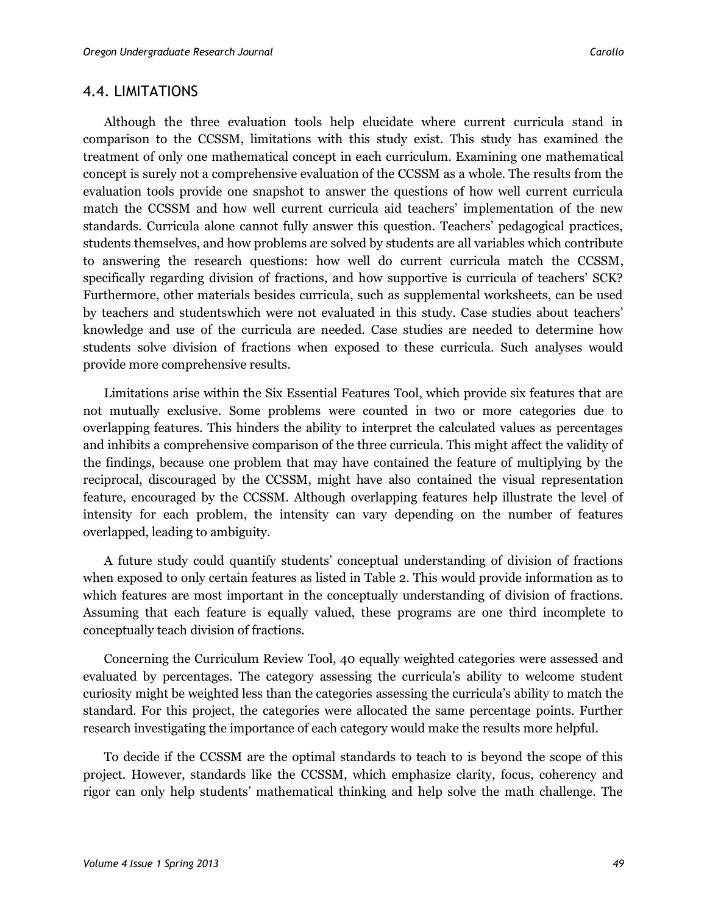#### 4.4. LIMITATIONS

Although the three evaluation tools help elucidate where current curricula stand in comparison to the CCSSM, limitations with this study exist. This study has examined the treatment of only one mathematical concept in each curriculum. Examining one mathematical concept is surely not a comprehensive evaluation of the CCSSM as a whole. The results from the evaluation tools provide one snapshot to answer the questions of how well current curricula match the CCSSM and how well current curricula aid teachers' implementation of the new standards. Curricula alone cannot fully answer this question. Teachers' pedagogical practices, students themselves, and how problems are solved by students are all variables which contribute to answering the research questions: how well do current curricula match the CCSSM, specifically regarding division of fractions, and how supportive is curricula of teachers' SCK? Furthermore, other materials besides curricula, such as supplemental worksheets, can be used by teachers and studentswhich were not evaluated in this study. Case studies about teachers' knowledge and use of the curricula are needed. Case studies are needed to determine how students solve division of fractions when exposed to these curricula. Such analyses would provide more comprehensive results.

Limitations arise within the Six Essential Features Tool, which provide six features that are not mutually exclusive. Some problems were counted in two or more categories due to overlapping features. This hinders the ability to interpret the calculated values as percentages and inhibits a comprehensive comparison of the three curricula. This might affect the validity of the findings, because one problem that may have contained the feature of multiplying by the reciprocal, discouraged by the CCSSM, might have also contained the visual representation feature, encouraged by the CCSSM. Although overlapping features help illustrate the level of intensity for each problem, the intensity can vary depending on the number of features overlapped, leading to ambiguity.

A future study could quantify students' conceptual understanding of division of fractions when exposed to only certain features as listed in Table 2. This would provide information as to which features are most important in the conceptually understanding of division of fractions. Assuming that each feature is equally valued, these programs are one third incomplete to conceptually teach division of fractions.

Concerning the Curriculum Review Tool, 40 equally weighted categories were assessed and evaluated by percentages. The category assessing the curricula's ability to welcome student curiosity might be weighted less than the categories assessing the curricula's ability to match the standard. For this project, the categories were allocated the same percentage points. Further research investigating the importance of each category would make the results more helpful.

To decide if the CCSSM are the optimal standards to teach to is beyond the scope of this project. However, standards like the CCSSM, which emphasize clarity, focus, coherency and rigor can only help students' mathematical thinking and help solve the math challenge. The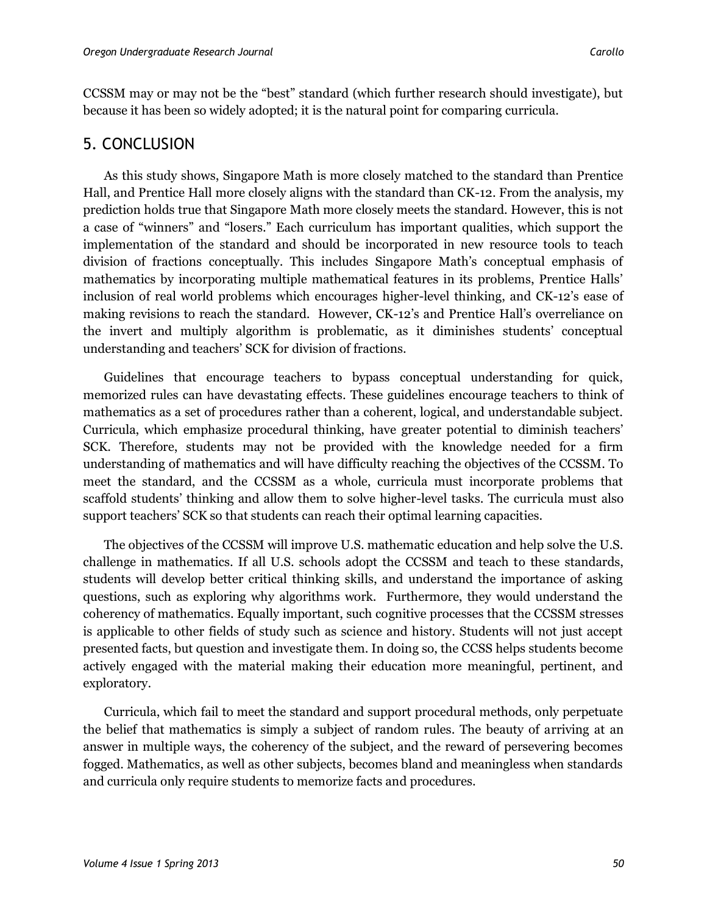CCSSM may or may not be the "best" standard (which further research should investigate), but because it has been so widely adopted; it is the natural point for comparing curricula.

# 5. CONCLUSION

As this study shows, Singapore Math is more closely matched to the standard than Prentice Hall, and Prentice Hall more closely aligns with the standard than CK-12. From the analysis, my prediction holds true that Singapore Math more closely meets the standard. However, this is not a case of "winners" and "losers." Each curriculum has important qualities, which support the implementation of the standard and should be incorporated in new resource tools to teach division of fractions conceptually. This includes Singapore Math's conceptual emphasis of mathematics by incorporating multiple mathematical features in its problems, Prentice Halls' inclusion of real world problems which encourages higher-level thinking, and CK-12's ease of making revisions to reach the standard. However, CK-12's and Prentice Hall's overreliance on the invert and multiply algorithm is problematic, as it diminishes students' conceptual understanding and teachers' SCK for division of fractions.

Guidelines that encourage teachers to bypass conceptual understanding for quick, memorized rules can have devastating effects. These guidelines encourage teachers to think of mathematics as a set of procedures rather than a coherent, logical, and understandable subject. Curricula, which emphasize procedural thinking, have greater potential to diminish teachers' SCK. Therefore, students may not be provided with the knowledge needed for a firm understanding of mathematics and will have difficulty reaching the objectives of the CCSSM. To meet the standard, and the CCSSM as a whole, curricula must incorporate problems that scaffold students' thinking and allow them to solve higher-level tasks. The curricula must also support teachers' SCK so that students can reach their optimal learning capacities.

The objectives of the CCSSM will improve U.S. mathematic education and help solve the U.S. challenge in mathematics. If all U.S. schools adopt the CCSSM and teach to these standards, students will develop better critical thinking skills, and understand the importance of asking questions, such as exploring why algorithms work. Furthermore, they would understand the coherency of mathematics. Equally important, such cognitive processes that the CCSSM stresses is applicable to other fields of study such as science and history. Students will not just accept presented facts, but question and investigate them. In doing so, the CCSS helps students become actively engaged with the material making their education more meaningful, pertinent, and exploratory.

Curricula, which fail to meet the standard and support procedural methods, only perpetuate the belief that mathematics is simply a subject of random rules. The beauty of arriving at an answer in multiple ways, the coherency of the subject, and the reward of persevering becomes fogged. Mathematics, as well as other subjects, becomes bland and meaningless when standards and curricula only require students to memorize facts and procedures.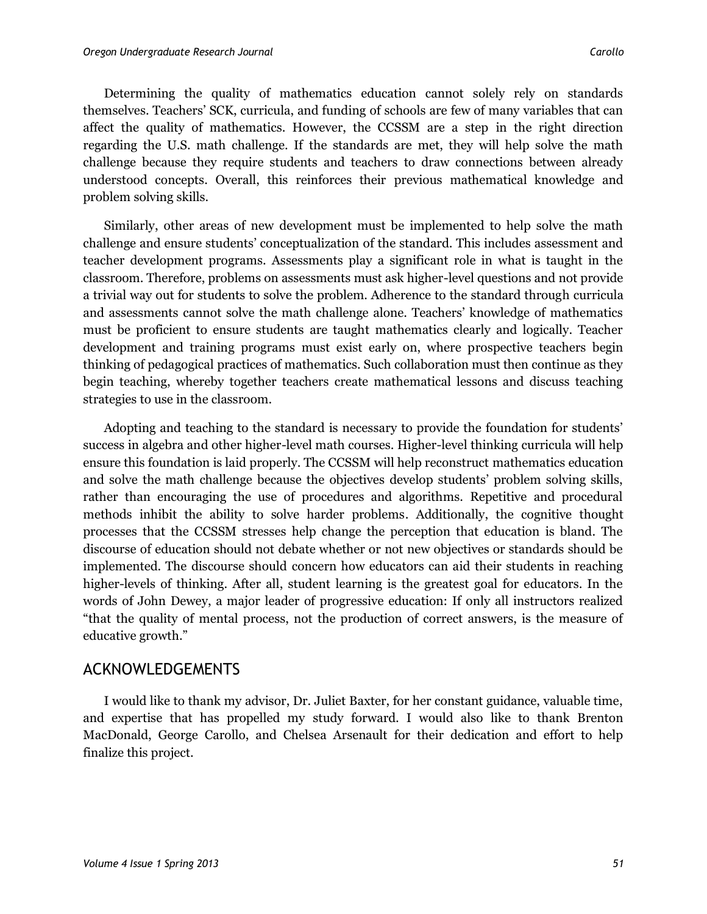Determining the quality of mathematics education cannot solely rely on standards themselves. Teachers' SCK, curricula, and funding of schools are few of many variables that can affect the quality of mathematics. However, the CCSSM are a step in the right direction regarding the U.S. math challenge. If the standards are met, they will help solve the math challenge because they require students and teachers to draw connections between already understood concepts. Overall, this reinforces their previous mathematical knowledge and problem solving skills.

Similarly, other areas of new development must be implemented to help solve the math challenge and ensure students' conceptualization of the standard. This includes assessment and teacher development programs. Assessments play a significant role in what is taught in the classroom. Therefore, problems on assessments must ask higher-level questions and not provide a trivial way out for students to solve the problem. Adherence to the standard through curricula and assessments cannot solve the math challenge alone. Teachers' knowledge of mathematics must be proficient to ensure students are taught mathematics clearly and logically. Teacher development and training programs must exist early on, where prospective teachers begin thinking of pedagogical practices of mathematics. Such collaboration must then continue as they begin teaching, whereby together teachers create mathematical lessons and discuss teaching strategies to use in the classroom.

Adopting and teaching to the standard is necessary to provide the foundation for students' success in algebra and other higher-level math courses. Higher-level thinking curricula will help ensure this foundation is laid properly. The CCSSM will help reconstruct mathematics education and solve the math challenge because the objectives develop students' problem solving skills, rather than encouraging the use of procedures and algorithms. Repetitive and procedural methods inhibit the ability to solve harder problems. Additionally, the cognitive thought processes that the CCSSM stresses help change the perception that education is bland. The discourse of education should not debate whether or not new objectives or standards should be implemented. The discourse should concern how educators can aid their students in reaching higher-levels of thinking. After all, student learning is the greatest goal for educators. In the words of John Dewey, a major leader of progressive education: If only all instructors realized "that the quality of mental process, not the production of correct answers, is the measure of educative growth."

#### ACKNOWLEDGEMENTS

I would like to thank my advisor, Dr. Juliet Baxter, for her constant guidance, valuable time, and expertise that has propelled my study forward. I would also like to thank Brenton MacDonald, George Carollo, and Chelsea Arsenault for their dedication and effort to help finalize this project.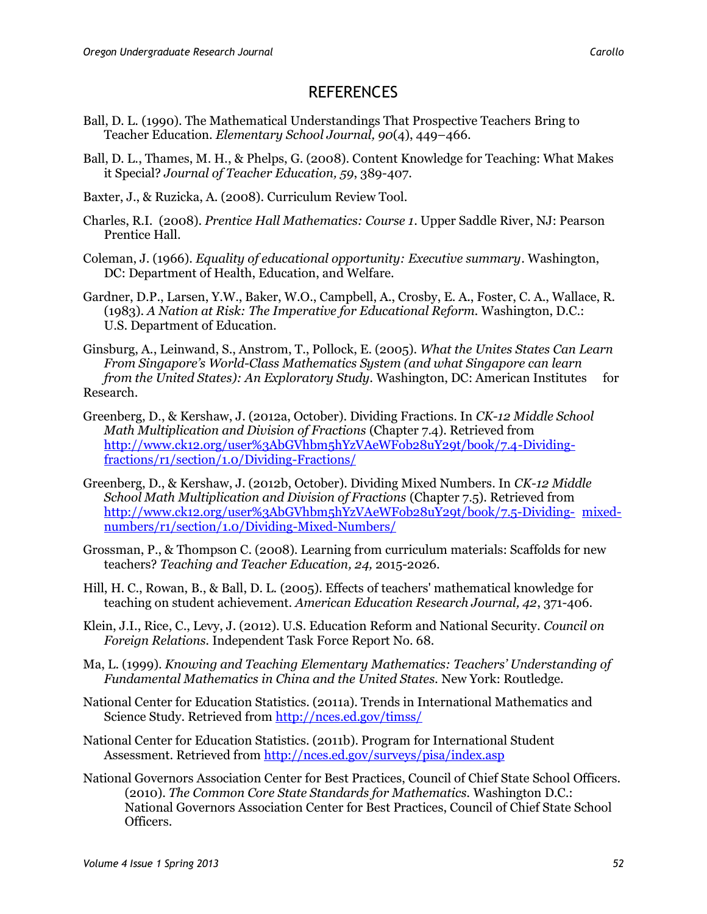### **REFERENCES**

- Ball, D. L. (1990). The Mathematical Understandings That Prospective Teachers Bring to Teacher Education. *Elementary School Journal, 90*(4), 449–466.
- Ball, D. L., Thames, M. H., & Phelps, G. (2008). Content Knowledge for Teaching: What Makes it Special? *Journal of Teacher Education, 59*, 389-407.
- Baxter, J., & Ruzicka, A. (2008). Curriculum Review Tool.
- Charles, R.I. (2008). *Prentice Hall Mathematics: Course 1*. Upper Saddle River, NJ: Pearson Prentice Hall.
- Coleman, J. (1966). *Equality of educational opportunity: Executive summary*. Washington, DC: Department of Health, Education, and Welfare.
- Gardner, D.P., Larsen, Y.W., Baker, W.O., Campbell, A., Crosby, E. A., Foster, C. A., Wallace, R. (1983). *A Nation at Risk: The Imperative for Educational Reform.* Washington, D.C.: U.S. Department of Education.
- Ginsburg, A., Leinwand, S., Anstrom, T., Pollock, E. (2005). *What the Unites States Can Learn From Singapore's World-Class Mathematics System (and what Singapore can learn from the United States): An Exploratory Study.* Washington, DC: American Institutes for Research.
- Greenberg, D., & Kershaw, J. (2012a, October). Dividing Fractions. In *CK-12 Middle School Math Multiplication and Division of Fractions* (Chapter 7.4). Retrieved from http://www.ck12.org/user%3AbGVhbm5hYzVAeWFob28uY29t/book/7.4-Dividingfractions/r1/section/1.0/Dividing-Fractions/
- Greenberg, D., & Kershaw, J. (2012b, October). Dividing Mixed Numbers. In *CK-12 Middle School Math Multiplication and Division of Fractions* (Chapter 7.5). Retrieved from http://www.ck12.org/user%3AbGVhbm5hYzVAeWFob28uY29t/book/7.5-Dividing- mixednumbers/r1/section/1.0/Dividing-Mixed-Numbers/
- Grossman, P., & Thompson C. (2008). Learning from curriculum materials: Scaffolds for new teachers? *Teaching and Teacher Education, 24,* 2015-2026.
- Hill, H. C., Rowan, B., & Ball, D. L. (2005). Effects of teachers' mathematical knowledge for teaching on student achievement. *American Education Research Journal, 42*, 371-406.
- Klein, J.I., Rice, C., Levy, J. (2012). U.S. Education Reform and National Security. *Council on Foreign Relations.* Independent Task Force Report No. 68.
- Ma, L. (1999). *Knowing and Teaching Elementary Mathematics: Teachers' Understanding of Fundamental Mathematics in China and the United States.* New York: Routledge.
- National Center for Education Statistics. (2011a). Trends in International Mathematics and Science Study. Retrieved from<http://nces.ed.gov/timss/>
- National Center for Education Statistics. (2011b). Program for International Student Assessment. Retrieved fro[m http://nces.ed.gov/surveys/pisa/index.asp](http://nces.ed.gov/surveys/pisa/index.asp)
- National Governors Association Center for Best Practices, Council of Chief State School Officers. (2010). *The Common Core State Standards for Mathematics.* Washington D.C.: National Governors Association Center for Best Practices, Council of Chief State School Officers.